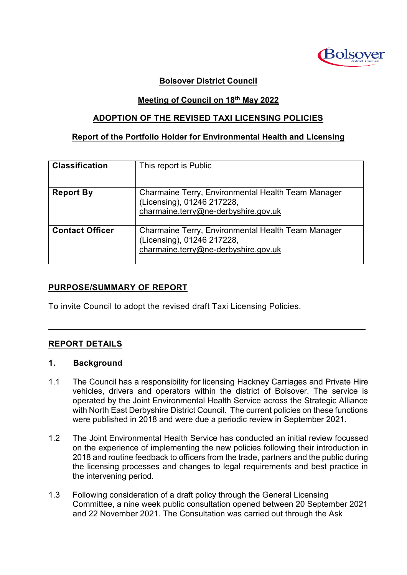

#### **Bolsover District Council**

#### **Meeting of Council on 18th May 2022**

#### **ADOPTION OF THE REVISED TAXI LICENSING POLICIES**

### **Report of the Portfolio Holder for Environmental Health and Licensing**

| <b>Classification</b>  | This report is Public                                                                                                    |
|------------------------|--------------------------------------------------------------------------------------------------------------------------|
| <b>Report By</b>       | Charmaine Terry, Environmental Health Team Manager<br>(Licensing), 01246 217228,<br>charmaine.terry@ne-derbyshire.gov.uk |
| <b>Contact Officer</b> | Charmaine Terry, Environmental Health Team Manager<br>(Licensing), 01246 217228,<br>charmaine.terry@ne-derbyshire.gov.uk |

### **PURPOSE/SUMMARY OF REPORT**

To invite Council to adopt the revised draft Taxi Licensing Policies.

### **REPORT DETAILS**

#### **1. Background**

1.1 The Council has a responsibility for licensing Hackney Carriages and Private Hire vehicles, drivers and operators within the district of Bolsover. The service is operated by the Joint Environmental Health Service across the Strategic Alliance with North East Derbyshire District Council. The current policies on these functions were published in 2018 and were due a periodic review in September 2021.

 $\mathcal{L}_\mathcal{L} = \mathcal{L}_\mathcal{L} = \mathcal{L}_\mathcal{L} = \mathcal{L}_\mathcal{L} = \mathcal{L}_\mathcal{L} = \mathcal{L}_\mathcal{L} = \mathcal{L}_\mathcal{L} = \mathcal{L}_\mathcal{L} = \mathcal{L}_\mathcal{L} = \mathcal{L}_\mathcal{L} = \mathcal{L}_\mathcal{L} = \mathcal{L}_\mathcal{L} = \mathcal{L}_\mathcal{L} = \mathcal{L}_\mathcal{L} = \mathcal{L}_\mathcal{L} = \mathcal{L}_\mathcal{L} = \mathcal{L}_\mathcal{L}$ 

- 1.2 The Joint Environmental Health Service has conducted an initial review focussed on the experience of implementing the new policies following their introduction in 2018 and routine feedback to officers from the trade, partners and the public during the licensing processes and changes to legal requirements and best practice in the intervening period.
- 1.3 Following consideration of a draft policy through the General Licensing Committee, a nine week public consultation opened between 20 September 2021 and 22 November 2021. The Consultation was carried out through the Ask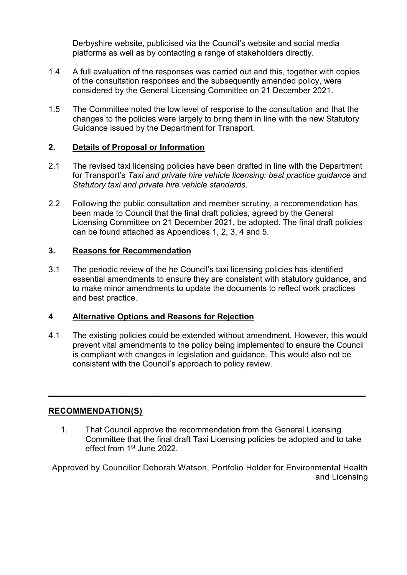Derbyshire website, publicised via the Council's website and social media platforms as well as by contacting a range of stakeholders directly.

- 1.4 A full evaluation of the responses was carried out and this, together with copies of the consultation responses and the subsequently amended policy, were considered by the General Licensing Committee on 21 December 2021.
- 1.5 The Committee noted the low level of response to the consultation and that the changes to the policies were largely to bring them in line with the new Statutory Guidance issued by the Department for Transport.

### **2. Details of Proposal or Information**

- 2.1 The revised taxi licensing policies have been drafted in line with the Department for Transport's *Taxi and private hire vehicle licensing: best practice guidance* and *Statutory taxi and private hire vehicle standards*.
- 2.2 Following the public consultation and member scrutiny, a recommendation has been made to Council that the final draft policies, agreed by the General Licensing Committee on 21 December 2021, be adopted. The final draft policies can be found attached as Appendices 1, 2, 3, 4 and 5.

## **3. Reasons for Recommendation**

3.1 The periodic review of the he Council's taxi licensing policies has identified essential amendments to ensure they are consistent with statutory guidance, and to make minor amendments to update the documents to reflect work practices and best practice.

### **4 Alternative Options and Reasons for Rejection**

4.1 The existing policies could be extended without amendment. However, this would prevent vital amendments to the policy being implemented to ensure the Council is compliant with changes in legislation and guidance. This would also not be consistent with the Council's approach to policy review.

**\_\_\_\_\_\_\_\_\_\_\_\_\_\_\_\_\_\_\_\_\_\_\_\_\_\_\_\_\_\_\_\_\_\_\_\_\_\_\_\_\_\_\_\_\_\_\_\_\_\_\_\_\_\_\_\_\_\_\_\_\_\_\_\_\_\_\_**

# **RECOMMENDATION(S)**

1. That Council approve the recommendation from the General Licensing Committee that the final draft Taxi Licensing policies be adopted and to take effect from 1<sup>st</sup> June 2022.

Approved by Councillor Deborah Watson, Portfolio Holder for Environmental Health and Licensing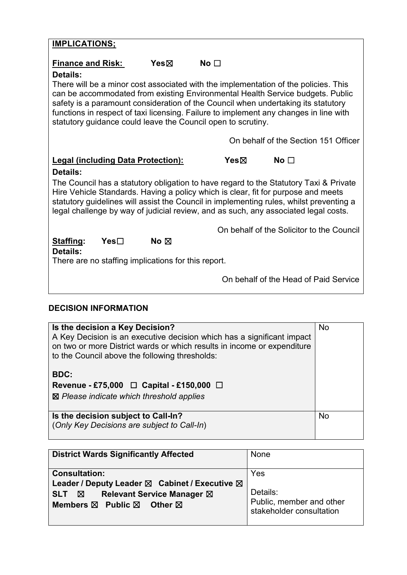| <b>IMPLICATIONS;</b>                                                                                                                                                                                                                                                                                                                                         |                                           |                                                                                             |           |       |           |                                           |
|--------------------------------------------------------------------------------------------------------------------------------------------------------------------------------------------------------------------------------------------------------------------------------------------------------------------------------------------------------------|-------------------------------------------|---------------------------------------------------------------------------------------------|-----------|-------|-----------|-------------------------------------------|
| <b>Finance and Risk:</b><br>Details:                                                                                                                                                                                                                                                                                                                         |                                           | Yes⊠<br>There will be a minor cost associated with the implementation of the policies. This | No $\Box$ |       |           |                                           |
| can be accommodated from existing Environmental Health Service budgets. Public<br>safety is a paramount consideration of the Council when undertaking its statutory<br>functions in respect of taxi licensing. Failure to implement any changes in line with<br>statutory guidance could leave the Council open to scrutiny.                                 |                                           |                                                                                             |           |       |           |                                           |
|                                                                                                                                                                                                                                                                                                                                                              |                                           |                                                                                             |           |       |           | On behalf of the Section 151 Officer      |
|                                                                                                                                                                                                                                                                                                                                                              | <b>Legal (including Data Protection):</b> |                                                                                             |           | Yes & | No $\Box$ |                                           |
| Details:                                                                                                                                                                                                                                                                                                                                                     |                                           |                                                                                             |           |       |           |                                           |
| The Council has a statutory obligation to have regard to the Statutory Taxi & Private<br>Hire Vehicle Standards. Having a policy which is clear, fit for purpose and meets<br>statutory guidelines will assist the Council in implementing rules, whilst preventing a<br>legal challenge by way of judicial review, and as such, any associated legal costs. |                                           |                                                                                             |           |       |           |                                           |
|                                                                                                                                                                                                                                                                                                                                                              |                                           |                                                                                             |           |       |           | On behalf of the Solicitor to the Council |
| Staffing:<br>Details:                                                                                                                                                                                                                                                                                                                                        | Yes⊟                                      | No $\boxtimes$                                                                              |           |       |           |                                           |
| There are no staffing implications for this report.                                                                                                                                                                                                                                                                                                          |                                           |                                                                                             |           |       |           |                                           |
|                                                                                                                                                                                                                                                                                                                                                              |                                           |                                                                                             |           |       |           | On behalf of the Head of Paid Service     |

# **DECISION INFORMATION**

| Is the decision a Key Decision?<br>A Key Decision is an executive decision which has a significant impact<br>on two or more District wards or which results in income or expenditure<br>to the Council above the following thresholds:<br><b>BDC:</b><br>Revenue - £75,000 $\Box$ Capital - £150,000 $\Box$<br>$\boxtimes$ Please indicate which threshold applies | <b>No</b> |
|--------------------------------------------------------------------------------------------------------------------------------------------------------------------------------------------------------------------------------------------------------------------------------------------------------------------------------------------------------------------|-----------|
| Is the decision subject to Call-In?<br>(Only Key Decisions are subject to Call-In)                                                                                                                                                                                                                                                                                 | <b>No</b> |

| <b>District Wards Significantly Affected</b>                                                                                                                                                                  | None                                                                    |
|---------------------------------------------------------------------------------------------------------------------------------------------------------------------------------------------------------------|-------------------------------------------------------------------------|
| <b>Consultation:</b><br>Leader / Deputy Leader $\boxtimes$ Cabinet / Executive $\boxtimes$<br><b>Relevant Service Manager ⊠</b><br>SLT <b>X</b><br>Members $\boxtimes$ Public $\boxtimes$<br>◯ Other <b>冈</b> | Yes<br>Details:<br>Public, member and other<br>stakeholder consultation |